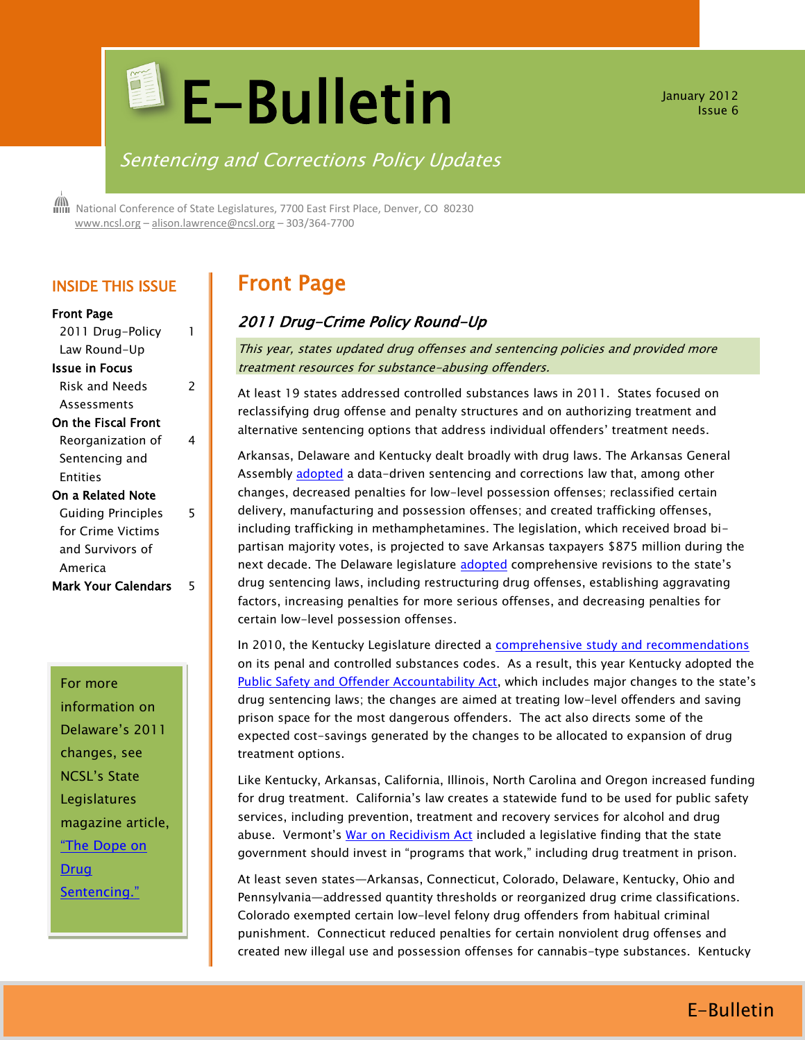# **E-Bulletin**

January 2012 Issue 6

## Sentencing and Corrections Policy Updates

 National Conference of State Legislatures, 7700 East First Place, Denver, CO 80230 [www.ncsl.org](http://www.ncsl.org/) – [alison.lawrence@ncsl.org](mailto:Alison.lawrence@ncsl.org) – 303/364-7700

## INSIDE THIS ISSUE

| <b>Front Page</b> |   |
|-------------------|---|
| 2011 Drug-Policy  | 1 |
| 1. <b>n.</b> 11.  |   |

| Law Round-Up              |   |
|---------------------------|---|
| Issue in Focus            |   |
| Risk and Needs            | 2 |
| Assessments               |   |
| On the Fiscal Front       |   |
| Reorganization of         |   |
| Sentencing and            |   |
| Fntities                  |   |
| On a Related Note         |   |
| <b>Guiding Principles</b> | 5 |
| for Crime Victims         |   |
| and Survivors of          |   |
| America                   |   |
| Mark Your Calendars       |   |

## For more

information on Delaware's 2011 changes, see NCSL's State Legislatures magazine article, ["The Dope on](http://www.ncsl.org/default.aspx?tabid=23900)  [Drug](http://www.ncsl.org/default.aspx?tabid=23900)  [Sentencing."](http://www.ncsl.org/default.aspx?tabid=23900)

# Front Page

## 2011 Drug-Crime Policy Round-Up

This year, states updated drug offenses and sentencing policies and provided more treatment resources for substance-abusing offenders.

At least 19 states addressed controlled substances laws in 2011. States focused on reclassifying drug offense and penalty structures and on authorizing treatment and alternative sentencing options that address individual offenders' treatment needs.

Arkansas, Delaware and Kentucky dealt broadly with drug laws. The Arkansas General Assembly [adopted](http://www.arkleg.state.ar.us/assembly/2011/2011R/Pages/BillInformation.aspx?measureno=sb750) a data-driven sentencing and corrections law that, among other changes, decreased penalties for low-level possession offenses; reclassified certain delivery, manufacturing and possession offenses; and created trafficking offenses, including trafficking in methamphetamines. The legislation, which received broad bipartisan majority votes, is projected to save Arkansas taxpayers \$875 million during the next decade. The Delaware legislature [adopted](http://legis.delaware.gov/LIS/lis146.nsf/vwLegislation/HB+19?Opendocument) comprehensive revisions to the state's drug sentencing laws, including restructuring drug offenses, establishing aggravating factors, increasing penalties for more serious offenses, and decreasing penalties for certain low-level possession offenses.

In 2010, the Kentucky Legislature directed a [comprehensive study and recommendations](http://www.dpa.ky.gov/NR/rdonlyres/ED98316F-48F1-4DC5-9E0D-AA37BDCB998E/0/PenalCodereportREV_TA4_20_11.pdf) on its penal and controlled substances codes. As a result, this year Kentucky adopted the [Public Safety and Offender Accountability Act](http://www.lrc.ky.gov/record/11rs/HB463/bill.doc), which includes major changes to the state's drug sentencing laws; the changes are aimed at treating low-level offenders and saving prison space for the most dangerous offenders. The act also directs some of the expected cost-savings generated by the changes to be allocated to expansion of drug treatment options.

Like Kentucky, Arkansas, California, Illinois, North Carolina and Oregon increased funding for drug treatment. California's law creates a statewide fund to be used for public safety services, including prevention, treatment and recovery services for alcohol and drug abuse. Vermont's [War on Recidivism Act](http://www.leg.state.vt.us/docs/2012/Acts/ACT041.pdf) included a legislative finding that the state government should invest in "programs that work," including drug treatment in prison.

At least seven states—Arkansas, Connecticut, Colorado, Delaware, Kentucky, Ohio and Pennsylvania—addressed quantity thresholds or reorganized drug crime classifications. Colorado exempted certain low-level felony drug offenders from habitual criminal punishment. Connecticut reduced penalties for certain nonviolent drug offenses and created new illegal use and possession offenses for cannabis-type substances. Kentucky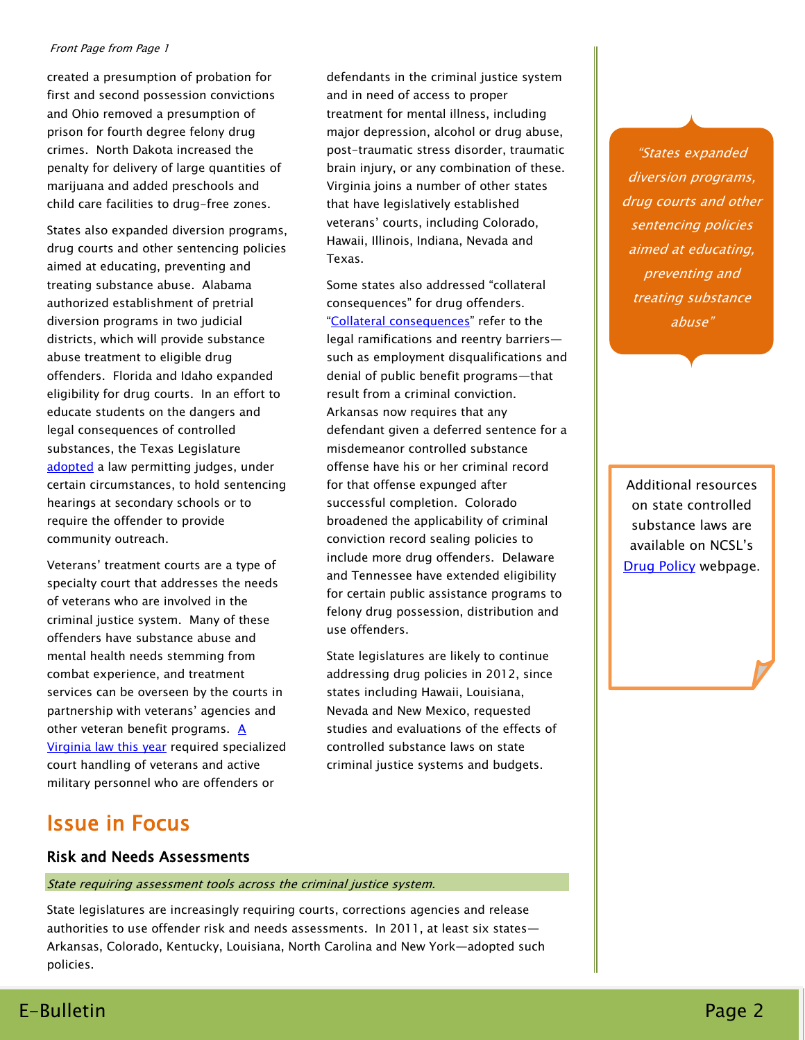#### Front Page from Page 1

created a presumption of probation for first and second possession convictions and Ohio removed a presumption of prison for fourth degree felony drug crimes. North Dakota increased the penalty for delivery of large quantities of marijuana and added preschools and child care facilities to drug-free zones.

States also expanded diversion programs, drug courts and other sentencing policies aimed at educating, preventing and treating substance abuse. Alabama authorized establishment of pretrial diversion programs in two judicial districts, which will provide substance abuse treatment to eligible drug offenders. Florida and Idaho expanded eligibility for drug courts. In an effort to educate students on the dangers and legal consequences of controlled substances, the Texas Legislature [adopted](http://e-lobbyist.com/gaits/text/310160) a law permitting judges, under certain circumstances, to hold sentencing hearings at secondary schools or to require the offender to provide community outreach.

Veterans' treatment courts are a type of specialty court that addresses the needs of veterans who are involved in the criminal justice system. Many of these offenders have substance abuse and mental health needs stemming from combat experience, and treatment services can be overseen by the courts in partnership with veterans' agencies and other veteran benefit programs.  $\underline{A}$ [Virginia law this year](http://leg1.state.va.us/cgi-bin/legp504.exe?111+sum+SB1063) required specialized court handling of veterans and active military personnel who are offenders or

defendants in the criminal justice system and in need of access to proper treatment for mental illness, including major depression, alcohol or drug abuse, post-traumatic stress disorder, traumatic brain injury, or any combination of these. Virginia joins a number of other states that have legislatively established veterans' courts, including Colorado, Hawaii, Illinois, Indiana, Nevada and Texas.

Some states also addressed "collateral consequences" for drug offenders. "[Collateral consequences](http://www.ncsl.org/default.aspx?TabId=23326)" refer to the legal ramifications and reentry barriers such as employment disqualifications and denial of public benefit programs—that result from a criminal conviction. Arkansas now requires that any defendant given a deferred sentence for a misdemeanor controlled substance offense have his or her criminal record for that offense expunged after successful completion. Colorado broadened the applicability of criminal conviction record sealing policies to include more drug offenders. Delaware and Tennessee have extended eligibility for certain public assistance programs to felony drug possession, distribution and use offenders.

State legislatures are likely to continue addressing drug policies in 2012, since states including Hawaii, Louisiana, Nevada and New Mexico, requested studies and evaluations of the effects of controlled substance laws on state criminal justice systems and budgets.

"States expanded diversion programs, drug courts and other sentencing policies aimed at educating, preventing and treating substance abuse"

Additional resources on state controlled substance laws are available on NCSL's [Drug Policy](http://www.ncsl.org/default.aspx?tabid=23591) webpage.

# Issue in Focus

## Risk and Needs Assessments

State requiring assessment tools across the criminal justice system.

State legislatures are increasingly requiring courts, corrections agencies and release authorities to use offender risk and needs assessments. In 2011, at least six states— Arkansas, Colorado, Kentucky, Louisiana, North Carolina and New York—adopted such policies.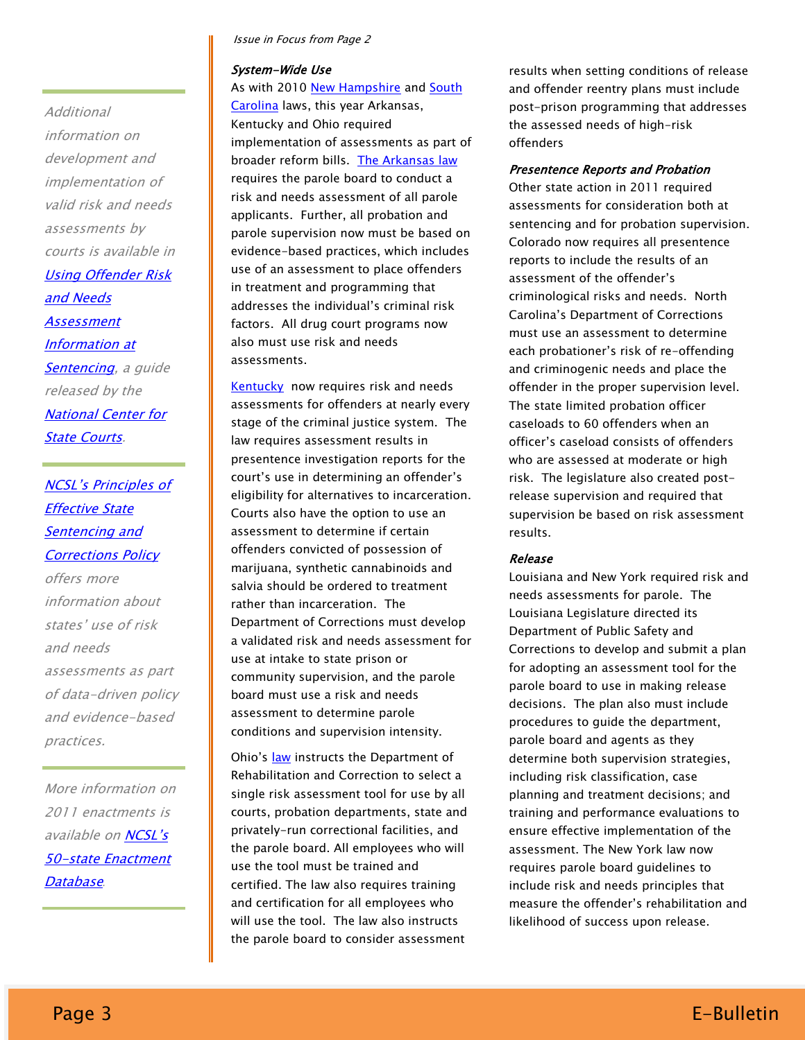Issue in Focus from Page 2

#### System-Wide Use

As with 2010 [New Hampshire](http://www.justicereinvestment.org/states/new_hampshire) and South [Carolina](http://www.pewtrusts.org/uploadedFiles/wwwpewtrustsorg/Reports/sentencing_and_corrections/PSPP_South_Carolina_brief.pdf) laws, this year Arkansas, Kentucky and Ohio required implementation of assessments as part of broader reform bills. [The Arkansas law](http://www.arkleg.state.ar.us/assembly/2011/2011R/Pages/BillInformation.aspx?measureno=sb750) requires the parole board to conduct a risk and needs assessment of all parole applicants. Further, all probation and parole supervision now must be based on evidence-based practices, which includes use of an assessment to place offenders in treatment and programming that addresses the individual's criminal risk factors. All drug court programs now also must use risk and needs assessments.

**Kentucky** now requires risk and needs assessments for offenders at nearly every stage of the criminal justice system. The law requires assessment results in presentence investigation reports for the court's use in determining an offender's eligibility for alternatives to incarceration. Courts also have the option to use an assessment to determine if certain offenders convicted of possession of marijuana, synthetic cannabinoids and salvia should be ordered to treatment rather than incarceration. The Department of Corrections must develop a validated risk and needs assessment for use at intake to state prison or community supervision, and the parole board must use a risk and needs assessment to determine parole conditions and supervision intensity.

Ohio's [law](http://www.legislature.state.oh.us/bills.cfm?ID=129_HB_86) instructs the Department of Rehabilitation and Correction to select a single risk assessment tool for use by all courts, probation departments, state and privately-run correctional facilities, and the parole board. All employees who will use the tool must be trained and certified. The law also requires training and certification for all employees who will use the tool. The law also instructs the parole board to consider assessment results when setting conditions of release and offender reentry plans must include post-prison programming that addresses the assessed needs of high-risk offenders

#### Presentence Reports and Probation

Other state action in 2011 required assessments for consideration both at sentencing and for probation supervision. Colorado now requires all presentence reports to include the results of an assessment of the offender's criminological risks and needs. North Carolina's Department of Corrections must use an assessment to determine each probationer's risk of re-offending and criminogenic needs and place the offender in the proper supervision level. The state limited probation officer caseloads to 60 offenders when an officer's caseload consists of offenders who are assessed at moderate or high risk. The legislature also created postrelease supervision and required that supervision be based on risk assessment results.

#### Release

Louisiana and New York required risk and needs assessments for parole. The Louisiana Legislature directed its Department of Public Safety and Corrections to develop and submit a plan for adopting an assessment tool for the parole board to use in making release decisions. The plan also must include procedures to guide the department, parole board and agents as they determine both supervision strategies, including risk classification, case planning and treatment decisions; and training and performance evaluations to ensure effective implementation of the assessment. The New York law now requires parole board guidelines to include risk and needs principles that measure the offender's rehabilitation and likelihood of success upon release.

**Additional** 

information on development and implementation of valid risk and needs

assessments by

[and Needs](http://www.ncsc.org/~/media/Files/PDF/Services%20and%20Experts/Areas%20of%20expertise/Sentencing%20Probation/RNA%20Guide%20Final.ashx)  [Assessment](http://www.ncsc.org/~/media/Files/PDF/Services%20and%20Experts/Areas%20of%20expertise/Sentencing%20Probation/RNA%20Guide%20Final.ashx)  [Information at](http://www.ncsc.org/~/media/Files/PDF/Services%20and%20Experts/Areas%20of%20expertise/Sentencing%20Probation/RNA%20Guide%20Final.ashx) 

courts is available in [Using Offender Risk](http://www.ncsc.org/~/media/Files/PDF/Services%20and%20Experts/Areas%20of%20expertise/Sentencing%20Probation/RNA%20Guide%20Final.ashx) 

[Sentencing,](http://www.ncsc.org/~/media/Files/PDF/Services%20and%20Experts/Areas%20of%20expertise/Sentencing%20Probation/RNA%20Guide%20Final.ashx) a guide

[NCSL's Principles of](http://www.ncsl.org/?TabId=23325) 

released by the [National Center for](http://www.ncsc.org/) 

[State Courts](http://www.ncsc.org/).

[Effective State](http://www.ncsl.org/?TabId=23325)  [Sentencing and](http://www.ncsl.org/?TabId=23325)  **[Corrections Policy](http://www.ncsl.org/?TabId=23325)** 

offers more

and needs

practices.

[Database](http://www.ncsl.org/Default.aspx?TabID=788&tabs=856,34,721#856)*.*

information about states' use of risk

assessments as part of data-driven policy and evidence-based

More information on 2011 enactments is available on NCSL's [50-state Enactment](http://www.ncsl.org/Default.aspx?TabID=788&tabs=856,34,721#856) 

# Page 3 E-Bulletin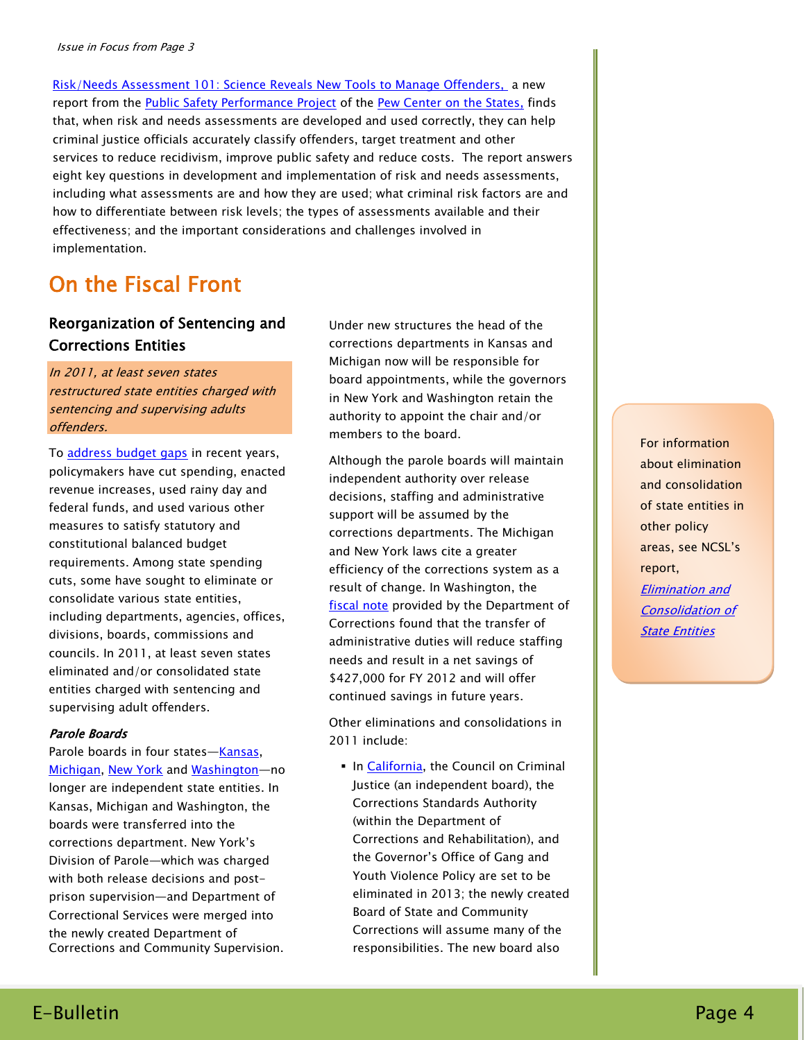[Risk/Needs Assessment 101: Science Reveals New Tools to Manage Offenders,](http://www.pewcenteronthestates.org/uploadedFiles/Pew_Risk_Assessment_brief.pdf) a new report from the [Public Safety Performance Project](http://www.pewcenteronthestates.org/initiatives_detail.aspx?initiativeID=31336) of the [Pew Center on the States,](http://www.pewcenteronthestates.org/) finds that, when risk and needs assessments are developed and used correctly, they can help criminal justice officials accurately classify offenders, target treatment and other services to reduce recidivism, improve public safety and reduce costs. The report answers eight key questions in development and implementation of risk and needs assessments, including what assessments are and how they are used; what criminal risk factors are and how to differentiate between risk levels; the types of assessments available and their effectiveness; and the important considerations and challenges involved in implementation.

# On the Fiscal Front

## Reorganization of Sentencing and Corrections Entities

In 2011, at least seven states restructured state entities charged with sentencing and supervising adults offenders.

To [address budget gaps](http://www.ncsl.org/default.aspx?tabid=20000) in recent years, policymakers have cut spending, enacted revenue increases, used rainy day and federal funds, and used various other measures to satisfy statutory and constitutional balanced budget requirements. Among state spending cuts, some have sought to eliminate or consolidate various state entities, including departments, agencies, offices, divisions, boards, commissions and councils. In 2011, at least seven states eliminated and/or consolidated state entities charged with sentencing and supervising adult offenders.

#### Parole Boards

Parole boards in four states-[Kansas,](http://www.kslegislature.org/li/b2011_12/year1/measures/ero/34/) [Michigan,](http://legislature.mi.gov/doc.aspx?mcl-E-R-O-No-2011-3) [New York](http://open.nysenate.gov/legislation/bill/S2812C-2011) and [Washington](http://apps.leg.wa.gov/billinfo/summary.aspx?bill=5891)—no longer are independent state entities. In Kansas, Michigan and Washington, the boards were transferred into the corrections department. New York's Division of Parole—which was charged with both release decisions and postprison supervision—and Department of Correctional Services were merged into the newly created Department of Corrections and Community Supervision.

Under new structures the head of the corrections departments in Kansas and Michigan now will be responsible for board appointments, while the governors in New York and Washington retain the authority to appoint the chair and/or members to the board.

Although the parole boards will maintain independent authority over release decisions, staffing and administrative support will be assumed by the corrections departments. The Michigan and New York laws cite a greater efficiency of the corrections system as a result of change. In Washington, the [fiscal note](http://www.ncsl.org/portals/1/Documents/cj/WAfiscalnote.pdf) provided by the Department of Corrections found that the transfer of administrative duties will reduce staffing needs and result in a net savings of \$427,000 for FY 2012 and will offer continued savings in future years.

Other eliminations and consolidations in 2011 include:

In [California,](http://www.leginfo.ca.gov/pub/11-12/bill/sen/sb_0051-0100/sb_92_bill_20110630_chaptered.pdf) the Council on Criminal Justice (an independent board), the Corrections Standards Authority (within the Department of Corrections and Rehabilitation), and the Governor's Office of Gang and Youth Violence Policy are set to be eliminated in 2013; the newly created Board of State and Community Corrections will assume many of the responsibilities. The new board also

For information about elimination and consolidation of state entities in other policy areas, see NCSL's report, [Elimination and](http://www.ncsl.org/default.aspx?tabid=23328)  [Consolidation of](http://www.ncsl.org/default.aspx?tabid=23328)  [State Entities](http://www.ncsl.org/default.aspx?tabid=23328)